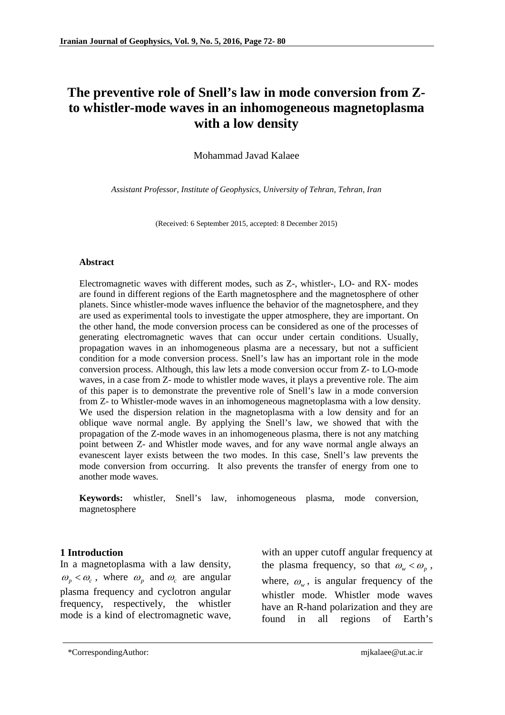# **The preventive role of Snell's law in mode conversion from Zto whistler-mode waves in an inhomogeneous magnetoplasma with a low density**

Mohammad Javad Kalaee

*Assistant Professor, Institute of Geophysics, University of Tehran, Tehran, Iran*

(Received: 6 September 2015, accepted: 8 December 2015)

#### **Abstract**

Electromagnetic waves with different modes, such as Z-, whistler-, LO- and RX- modes are found in different regions of the Earth magnetosphere and the magnetosphere of other planets. Since whistler-mode waves influence the behavior of the magnetosphere, and they are used as experimental tools to investigate the upper atmosphere, they are important. On the other hand, the mode conversion process can be considered as one of the processes of generating electromagnetic waves that can occur under certain conditions. Usually, propagation waves in an inhomogeneous plasma are a necessary, but not a sufficient condition for a mode conversion process. Snell's law has an important role in the mode conversion process. Although, this law lets a mode conversion occur from Z- to LO-mode waves, in a case from Z- mode to whistler mode waves, it plays a preventive role. The aim of this paper is to demonstrate the preventive role of Snell's law in a mode conversion from Z- to Whistler-mode waves in an inhomogeneous magnetoplasma with a low density. We used the dispersion relation in the magnetoplasma with a low density and for an oblique wave normal angle. By applying the Snell's law, we showed that with the propagation of the Z-mode waves in an inhomogeneous plasma, there is not any matching point between Z- and Whistler mode waves, and for any wave normal angle always an evanescent layer exists between the two modes. In this case, Snell's law prevents the mode conversion from occurring. It also prevents the transfer of energy from one to another mode waves.

**Keywords:** whistler, Snell's law, inhomogeneous plasma, mode conversion, magnetosphere

# **1 Introduction**

In a magnetoplasma with a law density,  $\omega_p < \omega_c$ , where  $\omega_p$  and  $\omega_c$  are angular plasma frequency and cyclotron angular frequency, respectively, the whistler mode is a kind of electromagnetic wave, with an upper cutoff angular frequency at the plasma frequency, so that  $\omega_{w} < \omega_{p}$ , where,  $\omega_{w}$ , is angular frequency of the whistler mode. Whistler mode waves have an R-hand polarization and they are found in all regions of Earth's

<sup>\*</sup>CorrespondingAuthor: [mjkalaee@ut.ac.ir](mailto:mjkalaee@ut.ac.ir)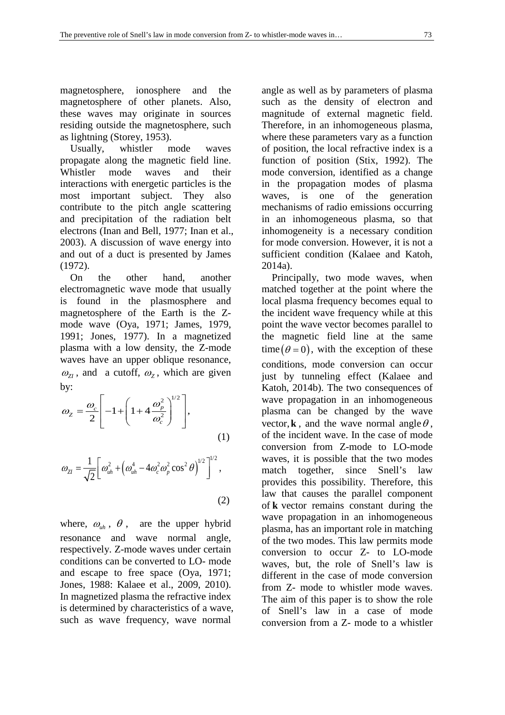magnetosphere, ionosphere and the magnetosphere of other planets. Also, these waves may originate in sources residing outside the magnetosphere, such as lightning (Storey, 1953).

 Usually, whistler mode waves propagate along the magnetic field line. Whistler mode waves and their interactions with energetic particles is the most important subject. They also contribute to the pitch angle scattering and precipitation of the radiation belt electrons (Inan and Bell, 1977; Inan et al., 2003). A discussion of wave energy into and out of a duct is presented by James (1972).

 On the other hand, another electromagnetic wave mode that usually is found in the plasmosphere and magnetosphere of the Earth is the Zmode wave (Oya, 1971; James, 1979, 1991; Jones, 1977). In a magnetized plasma with a low density, the Z-mode waves have an upper oblique resonance,  $\omega_{7}$ , and a cutoff,  $\omega_{7}$ , which are given by:

$$
\omega_z = \frac{\omega_c}{2} \left[ -1 + \left( 1 + 4 \frac{\omega_p^2}{\omega_c^2} \right)^{1/2} \right],\tag{1}
$$

$$
\omega_{ZI} = \frac{1}{\sqrt{2}} \left[ \omega_{uh}^2 + \left( \omega_{uh}^4 - 4\omega_c^2 \omega_p^2 \cos^2 \theta \right)^{1/2} \right]^{1/2},
$$
\n(2)

where,  $\omega_{uh}$ ,  $\theta$ , are the upper hybrid resonance and wave normal angle, respectively. Z-mode waves under certain conditions can be converted to LO- mode and escape to free space (Oya, 1971; Jones, 1988: Kalaee et al., 2009, 2010). In magnetized plasma the refractive index is determined by characteristics of a wave, such as wave frequency, wave normal

angle as well as by parameters of plasma such as the density of electron and magnitude of external magnetic field. Therefore, in an inhomogeneous plasma, where these parameters vary as a function of position, the local refractive index is a function of position (Stix, 1992). The mode conversion, identified as a change in the propagation modes of plasma waves, is one of the generation mechanisms of radio emissions occurring in an inhomogeneous plasma, so that inhomogeneity is a necessary condition for mode conversion. However, it is not a sufficient condition (Kalaee and Katoh, 2014a).

 Principally, two mode waves, when matched together at the point where the local plasma frequency becomes equal to the incident wave frequency while at this point the wave vector becomes parallel to the magnetic field line at the same time  $(\theta = 0)$ , with the exception of these conditions, mode conversion can occur just by tunneling effect (Kalaee and Katoh, 2014b). The two consequences of wave propagation in an inhomogeneous plasma can be changed by the wave vector, **k**, and the wave normal angle  $\theta$ , of the incident wave. In the case of mode conversion from Z-mode to LO-mode waves, it is possible that the two modes match together, since Snell's law provides this possibility. Therefore, this law that causes the parallel component of **k** vector remains constant during the wave propagation in an inhomogeneous plasma, has an important role in matching of the two modes. This law permits mode conversion to occur Z- to LO-mode waves, but, the role of Snell's law is different in the case of mode conversion from Z- mode to whistler mode waves. The aim of this paper is to show the role of Snell's law in a case of mode conversion from a Z- mode to a whistler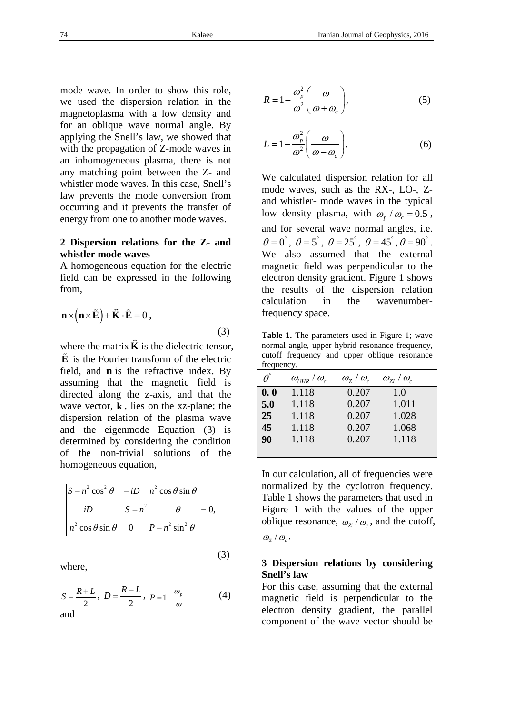mode wave. In order to show this role, we used the dispersion relation in the magnetoplasma with a low density and for an oblique wave normal angle. By applying the Snell's law, we showed that with the propagation of Z-mode waves in an inhomogeneous plasma, there is not any matching point between the Z- and whistler mode waves. In this case, Snell's law prevents the mode conversion from occurring and it prevents the transfer of energy from one to another mode waves.

#### **2 Dispersion relations for the Z**- **and whistler mode waves**

A homogeneous equation for the electric field can be expressed in the following from,

$$
\mathbf{n} \times (\mathbf{n} \times \tilde{\mathbf{E}}) + \tilde{\mathbf{K}} \cdot \tilde{\mathbf{E}} = 0,
$$
\n(3)

where the matrix**K** is the dielectric tensor, **E** is the Fourier transform of the electric field, and **n** is the refractive index. By assuming that the magnetic field is directed along the z-axis, and that the wave vector, **k** , lies on the xz-plane; the dispersion relation of the plasma wave and the eigenmode Equation (3) is determined by considering the condition of the non-trivial solutions of the homogeneous equation,

$$
\begin{vmatrix} S - n^2 \cos^2 \theta & -iD & n^2 \cos \theta \sin \theta \\ iD & S - n^2 & \theta \\ n^2 \cos \theta \sin \theta & 0 & P - n^2 \sin^2 \theta \end{vmatrix} = 0,
$$

where,

$$
S = \frac{R+L}{2}, \ D = \frac{R-L}{2}, \ P = 1 - \frac{\omega_p}{\omega}
$$
 (4)

(3)

$$
R = 1 - \frac{\omega_p^2}{\omega^2} \left( \frac{\omega}{\omega + \omega_c} \right),\tag{5}
$$

$$
L = 1 - \frac{\omega_p^2}{\omega^2} \left( \frac{\omega}{\omega - \omega_c} \right).
$$
 (6)

We calculated dispersion relation for all mode waves, such as the RX-, LO-, Zand whistler- mode waves in the typical low density plasma, with  $\omega_p / \omega_c = 0.5$ , and for several wave normal angles, i.e.  $\theta = 0^\circ$ ,  $\theta = 5^\circ$ ,  $\theta = 25^\circ$ ,  $\theta = 45^\circ$ ,  $\theta = 90^\circ$ . We also assumed that the external magnetic field was perpendicular to the electron density gradient. Figure 1 shows the results of the dispersion relation calculation in the wavenumberfrequency space.

**Table 1.** The parameters used in Figure 1; wave normal angle, upper hybrid resonance frequency, cutoff frequency and upper oblique resonance frequency

| $\boldsymbol{\theta}^{\circ}$ | $\omega_{UHR}$ / $\omega_c$ | $\omega_{7}/\omega_{c}$ | $\omega_{ZI}/\omega_c$ |  |
|-------------------------------|-----------------------------|-------------------------|------------------------|--|
| 0.0                           | 1.118                       | 0.207                   | 1.0                    |  |
| 5.0                           | 1.118                       | 0.207                   | 1.011                  |  |
| 25                            | 1.118                       | 0.207                   | 1.028                  |  |
| 45                            | 1.118                       | 0.207                   | 1.068                  |  |
| 90                            | 1.118                       | 0.207                   | 1.118                  |  |
|                               |                             |                         |                        |  |

In our calculation, all of frequencies were normalized by the cyclotron frequency. Table 1 shows the parameters that used in Figure 1 with the values of the upper oblique resonance,  $\omega_{\rm z}/\omega_{\rm c}$ , and the cutoff,

## $\omega_z / \omega_c$ .

## **3 Dispersion relations by considering Snell's law**

For this case, assuming that the external magnetic field is perpendicular to the electron density gradient, the parallel component of the wave vector should be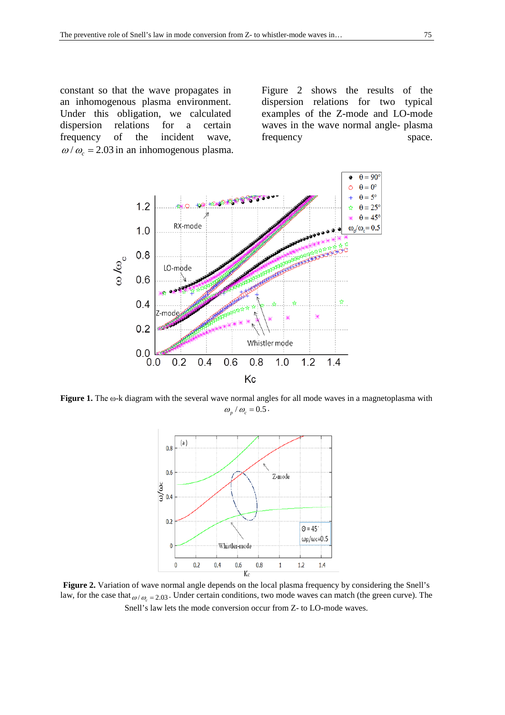constant so that the wave propagates in an inhomogenous plasma environment. Under this obligation, we calculated<br>dispersion relations for a certain dispersion relations for a certain frequency of the incident wave,  $\omega/\omega_c$  = 2.03 in an inhomogenous plasma. Figure 2 shows the results of the dispersion relations for two typical examples of the Z-mode and LO-mode waves in the wave normal angle- plasma frequency space.



**Figure 1.** The ω-k diagram with the several wave normal angles for all mode waves in a magnetoplasma with  $\omega_{n}$  /  $\omega_{c}$  = 0.5.



Figure 2. Variation of wave normal angle depends on the local plasma frequency by considering the Snell's law, for the case that  $_{\omega/\omega_{c} = 2.03}$ . Under certain conditions, two mode waves can match (the green curve). The Snell's law lets the mode conversion occur from Z- to LO-mode waves.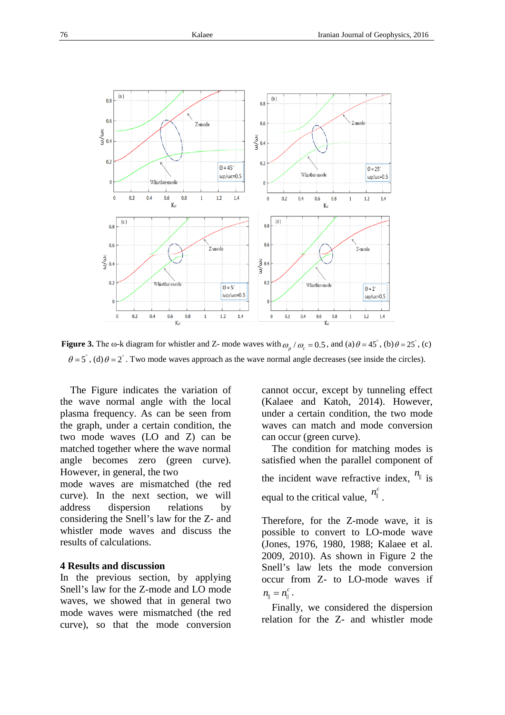

**Figure 3.** The ω-k diagram for whistler and Z- mode waves with  $\omega_p / \omega_c = 0.5$ , and (a)  $\theta = 45^\circ$ , (b)  $\theta = 25^\circ$ , (c)  $\theta = 5^\circ$ , (d)  $\theta = 2^\circ$ . Two mode waves approach as the wave normal angle decreases (see inside the circles).

 The Figure indicates the variation of the wave normal angle with the local plasma frequency. As can be seen from the graph, under a certain condition, the two mode waves (LO and Z) can be matched together where the wave normal angle becomes zero (green curve). However, in general, the two

mode waves are mismatched (the red curve). In the next section, we will address dispersion relations by considering the Snell's law for the Z- and whistler mode waves and discuss the results of calculations.

#### **4 Results and discussion**

In the previous section, by applying Snell's law for the Z-mode and LO mode waves, we showed that in general two mode waves were mismatched (the red curve), so that the mode conversion cannot occur, except by tunneling effect (Kalaee and Katoh, 2014). However, under a certain condition, the two mode waves can match and mode conversion can occur (green curve).

 The condition for matching modes is satisfied when the parallel component of

the incident wave refractive index,  $n_{\parallel}$  is equal to the critical value,  $n_{\parallel}^{c}$ .

Therefore, for the Z-mode wave, it is possible to convert to LO-mode wave (Jones, 1976, 1980, 1988; Kalaee et al. 2009, 2010). As shown in Figure 2 the Snell's law lets the mode conversion occur from Z- to LO-mode waves if  $n_{\parallel} = n_{\parallel}^{c}$ .

 Finally, we considered the dispersion relation for the Z- and whistler mode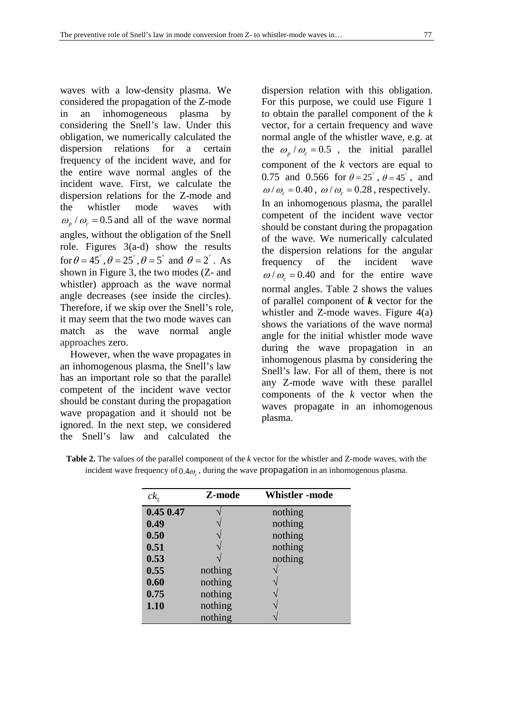waves with a low-density plasma. We considered the propagation of the Z-mode in an inhomogeneous plasma by considering the Snell's law. Under this obligation, we numerically calculated the dispersion relations for a certain frequency of the incident wave, and for the entire wave normal angles of the incident wave. First, we calculate the dispersion relations for the Z-mode and the whistler mode waves with  $\omega_p / \omega_c = 0.5$  and all of the wave normal angles, without the obligation of the Snell role. Figures 3(a-d) show the results for  $\theta = 45^\circ$ ,  $\theta = 25^\circ$ ,  $\theta = 5^\circ$  and  $\theta = 2^\circ$ . As shown in Figure 3, the two modes (Z- and whistler) approach as the wave normal angle decreases (see inside the circles). Therefore, if we skip over the Snell's role, it may seem that the two mode waves can match as the wave normal angle approaches zero.

 However, when the wave propagates in an inhomogenous plasma, the Snell's law has an important role so that the parallel competent of the incident wave vector should be constant during the propagation wave propagation and it should not be ignored. In the next step, we considered the Snell's law and calculated the

dispersion relation with this obligation. For this purpose, we could use Figure 1 to obtain the parallel component of the *k*  vector, for a certain frequency and wave normal angle of the whistler wave, e.g. at the  $\omega_p / \omega_c = 0.5$ , the initial parallel component of the *k* vectors are equal to 0.75 and 0.566 for  $\theta = 25^{\circ}$ ,  $\theta = 45^{\circ}$ , and  $\omega/\omega_c = 0.40$ ,  $\omega/\omega_c = 0.28$ , respectively. In an inhomogenous plasma, the parallel competent of the incident wave vector should be constant during the propagation of the wave. We numerically calculated the dispersion relations for the angular frequency of the incident wave  $\omega/\omega_c = 0.40$  and for the entire wave normal angles. Table 2 shows the values of parallel component of *k* vector for the whistler and Z-mode waves. Figure 4(a) shows the variations of the wave normal angle for the initial whistler mode wave during the wave propagation in an inhomogenous plasma by considering the Snell's law. For all of them, there is not any Z-mode wave with these parallel components of the *k* vector when the waves propagate in an inhomogenous plasma.

| <b>Table 2.</b> The values of the parallel component of the k vector for the whistler and Z-mode waves, with the |
|------------------------------------------------------------------------------------------------------------------|
| incident wave frequency of $0.4\omega_c$ , during the wave propagation in an inhomogenous plasma.                |

| $ck_{\shortparallel}$ | Z-mode  | <b>Whistler</b> -mode |
|-----------------------|---------|-----------------------|
| 0.450.47              |         | nothing               |
| 0.49                  |         | nothing               |
| 0.50                  |         | nothing               |
| 0.51                  |         | nothing               |
| 0.53                  |         | nothing               |
| 0.55                  | nothing |                       |
| 0.60                  | nothing |                       |
| 0.75                  | nothing |                       |
| 1.10                  | nothing |                       |
|                       | nothing |                       |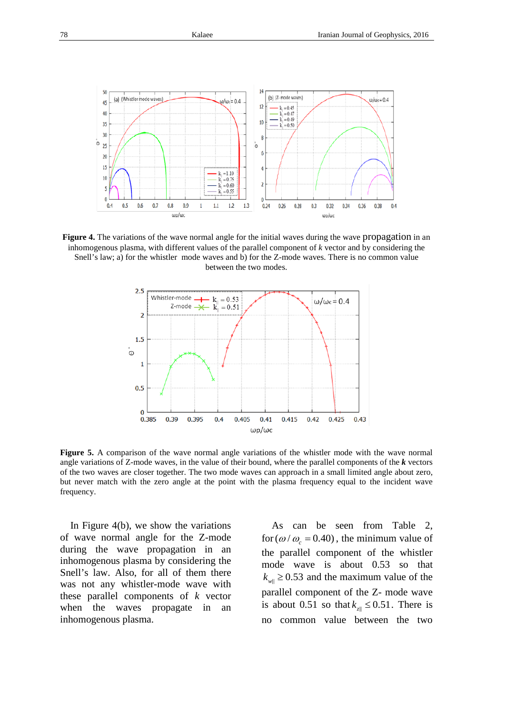

**Figure 4.** The variations of the wave normal angle for the initial waves during the wave propagation in an inhomogenous plasma, with different values of the parallel component of *k* vector and by considering the Snell's law; a) for the whistler mode waves and b) for the Z-mode waves. There is no common value between the two modes.



**Figure 5.** A comparison of the wave normal angle variations of the whistler mode with the wave normal angle variations of Z-mode waves, in the value of their bound, where the parallel components of the *k* vectors of the two waves are closer together. The two mode waves can approach in a small limited angle about zero, but never match with the zero angle at the point with the plasma frequency equal to the incident wave frequency.

 In Figure 4(b), we show the variations of wave normal angle for the Z-mode during the wave propagation in an inhomogenous plasma by considering the Snell's law. Also, for all of them there was not any whistler-mode wave with these parallel components of *k* vector when the waves propagate in an inhomogenous plasma.

 As can be seen from Table 2, for  $(\omega / \omega_c = 0.40)$ , the minimum value of the parallel component of the whistler mode wave is about 0.53 so that  $k_{\text{well}} \geq 0.53$  and the maximum value of the parallel component of the Z- mode wave is about 0.51 so that  $k_{z} \leq 0.51$ . There is no common value between the two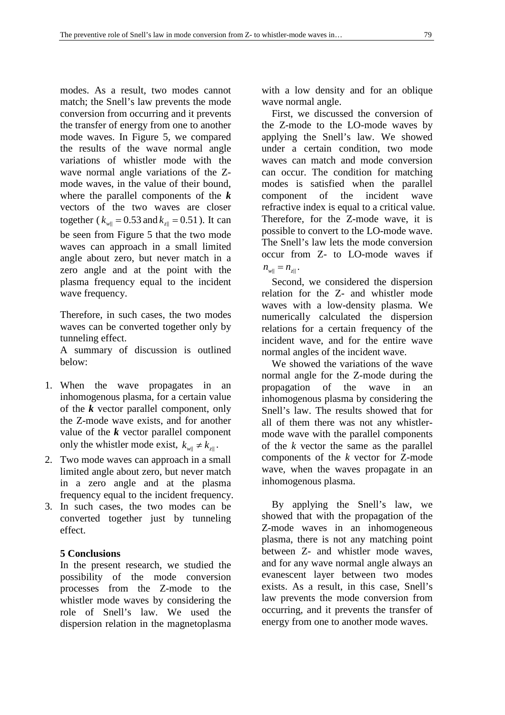modes. As a result, two modes cannot match; the Snell's law prevents the mode conversion from occurring and it prevents the transfer of energy from one to another mode waves. In Figure 5, we compared the results of the wave normal angle variations of whistler mode with the wave normal angle variations of the Zmode waves, in the value of their bound, where the parallel components of the *k* vectors of the two waves are closer together ( $k_{w||} = 0.53$  and  $k_{z||} = 0.51$ ). It can be seen from Figure 5 that the two mode waves can approach in a small limited angle about zero, but never match in a zero angle and at the point with the plasma frequency equal to the incident wave frequency.

Therefore, in such cases, the two modes waves can be converted together only by tunneling effect.

A summary of discussion is outlined below:

- 1. When the wave propagates in an inhomogenous plasma, for a certain value of the *k* vector parallel component, only the Z-mode wave exists, and for another value of the *k* vector parallel component only the whistler mode exist,  $k_{w||} \neq k_{z||}$ .
- 2. Two mode waves can approach in a small limited angle about zero, but never match in a zero angle and at the plasma frequency equal to the incident frequency.
- 3. In such cases, the two modes can be converted together just by tunneling effect.

# **5 Conclusions**

In the present research, we studied the possibility of the mode conversion processes from the Z-mode to the whistler mode waves by considering the role of Snell's law. We used the dispersion relation in the magnetoplasma

with a low density and for an oblique wave normal angle.

 First, we discussed the conversion of the Z-mode to the LO-mode waves by applying the Snell's law. We showed under a certain condition, two mode waves can match and mode conversion can occur. The condition for matching modes is satisfied when the parallel component of the incident wave refractive index is equal to a critical value. Therefore, for the Z-mode wave, it is possible to convert to the LO-mode wave. The Snell's law lets the mode conversion occur from Z- to LO-mode waves if  $n_{w||} = n_{z||}$ .

 Second, we considered the dispersion relation for the Z- and whistler mode waves with a low-density plasma. We numerically calculated the dispersion relations for a certain frequency of the incident wave, and for the entire wave normal angles of the incident wave.

 We showed the variations of the wave normal angle for the Z-mode during the propagation of the wave in an inhomogenous plasma by considering the Snell's law. The results showed that for all of them there was not any whistlermode wave with the parallel components of the *k* vector the same as the parallel components of the *k* vector for Z-mode wave, when the waves propagate in an inhomogenous plasma.

 By applying the Snell's law, we showed that with the propagation of the Z-mode waves in an inhomogeneous plasma, there is not any matching point between Z- and whistler mode waves, and for any wave normal angle always an evanescent layer between two modes exists. As a result, in this case, Snell's law prevents the mode conversion from occurring, and it prevents the transfer of energy from one to another mode waves.